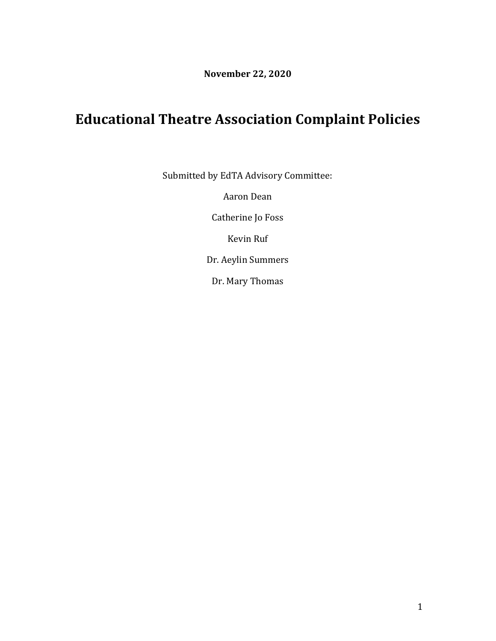**November 22, 2020**

# **Educational Theatre Association Complaint Policies**

Submitted by EdTA Advisory Committee:

Aaron Dean

Catherine Jo Foss

Kevin Ruf

Dr. Aeylin Summers

Dr. Mary Thomas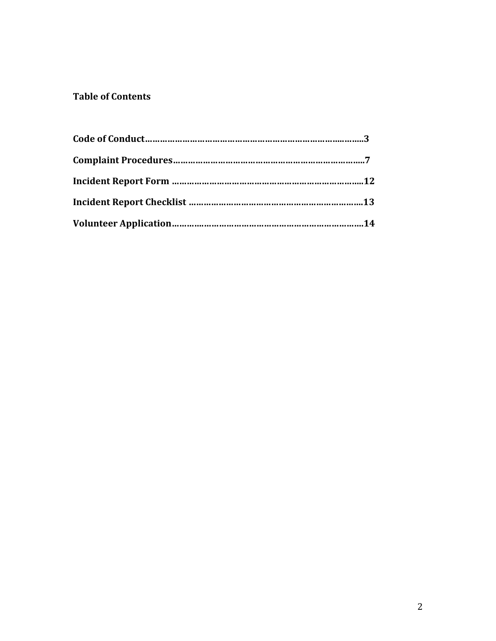### **Table of Contents**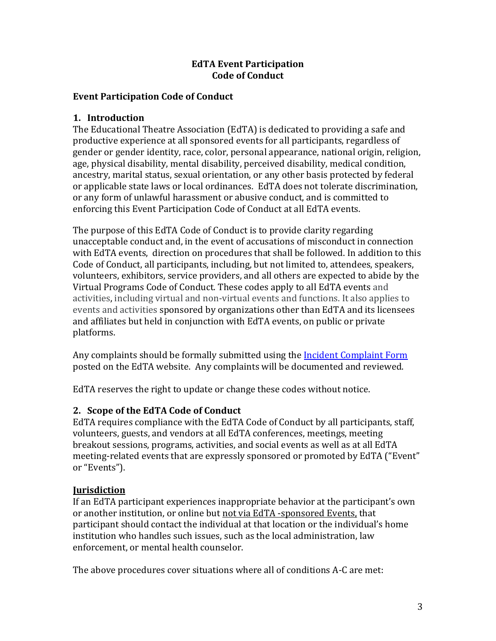#### **EdTA Event Participation Code of Conduct**

#### **Event Participation Code of Conduct**

#### **1. Introduction**

The Educational Theatre Association (EdTA) is dedicated to providing a safe and productive experience at all sponsored events for all participants, regardless of gender or gender identity, race, color, personal appearance, national origin, religion, age, physical disability, mental disability, perceived disability, medical condition, ancestry, marital status, sexual orientation, or any other basis protected by federal or applicable state laws or local ordinances. EdTA does not tolerate discrimination, or any form of unlawful harassment or abusive conduct, and is committed to enforcing this Event Participation Code of Conduct at all EdTA events.

The purpose of this EdTA Code of Conduct is to provide clarity regarding unacceptable conduct and, in the event of accusations of misconduct in connection with EdTA events, direction on procedures that shall be followed. In addition to this Code of Conduct, all participants, including, but not limited to, attendees, speakers, volunteers, exhibitors, service providers, and all others are expected to abide by the Virtual Programs Code of Conduct. These codes apply to all EdTA events and activities, including virtual and non-virtual events and functions. It also applies to events and activities sponsored by organizations other than EdTA and its licensees and affiliates but held in conjunction with EdTA events, on public or private platforms.

Any complaints should be formally submitted using the **Incident Complaint Form** posted on the EdTA website. Any complaints will be documented and reviewed.

EdTA reserves the right to update or change these codes without notice.

### **2. Scope of the EdTA Code of Conduct**

EdTA requires compliance with the EdTA Code of Conduct by all participants, staff, volunteers, guests, and vendors at all EdTA conferences, meetings, meeting breakout sessions, programs, activities, and social events as well as at all EdTA meeting-related events that are expressly sponsored or promoted by EdTA ("Event" or "Events").

### **Jurisdiction**

If an EdTA participant experiences inappropriate behavior at the participant's own or another institution, or online but not via EdTA -sponsored Events, that participant should contact the individual at that location or the individual's home institution who handles such issues, such as the local administration, law enforcement, or mental health counselor.

The above procedures cover situations where all of conditions A-C are met: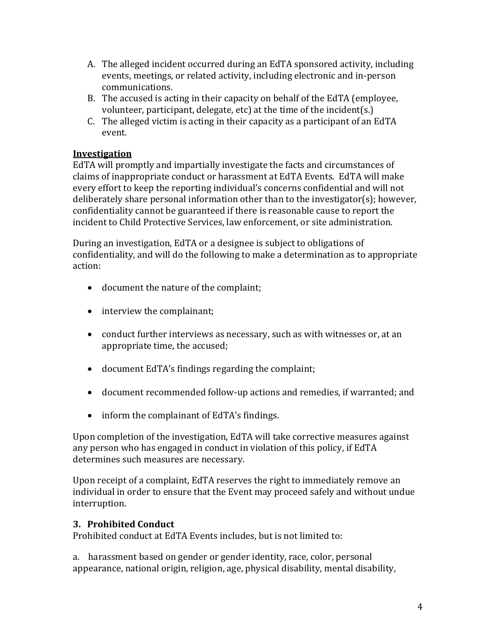- A. The alleged incident occurred during an EdTA sponsored activity, including events, meetings, or related activity, including electronic and in-person communications.
- B. The accused is acting in their capacity on behalf of the EdTA (employee, volunteer, participant, delegate, etc) at the time of the incident(s.)
- C. The alleged victim is acting in their capacity as a participant of an EdTA event.

### **Investigation**

EdTA will promptly and impartially investigate the facts and circumstances of claims of inappropriate conduct or harassment at EdTA Events. EdTA will make every effort to keep the reporting individual's concerns confidential and will not deliberately share personal information other than to the investigator(s); however, confidentiality cannot be guaranteed if there is reasonable cause to report the incident to Child Protective Services, law enforcement, or site administration.

During an investigation, EdTA or a designee is subject to obligations of confidentiality, and will do the following to make a determination as to appropriate action:

- document the nature of the complaint;
- interview the complainant;
- conduct further interviews as necessary, such as with witnesses or, at an appropriate time, the accused;
- document EdTA's findings regarding the complaint;
- document recommended follow-up actions and remedies, if warranted; and
- inform the complainant of EdTA's findings.

Upon completion of the investigation, EdTA will take corrective measures against any person who has engaged in conduct in violation of this policy, if EdTA determines such measures are necessary.

Upon receipt of a complaint, EdTA reserves the right to immediately remove an individual in order to ensure that the Event may proceed safely and without undue interruption.

### **3. Prohibited Conduct**

Prohibited conduct at EdTA Events includes, but is not limited to:

a. harassment based on gender or gender identity, race, color, personal appearance, national origin, religion, age, physical disability, mental disability,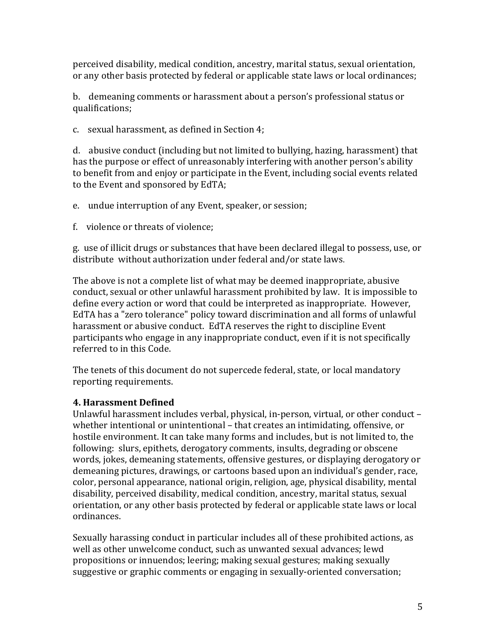perceived disability, medical condition, ancestry, marital status, sexual orientation, or any other basis protected by federal or applicable state laws or local ordinances;

b. demeaning comments or harassment about a person's professional status or qualifications;

c. sexual harassment, as defined in Section 4;

d. abusive conduct (including but not limited to bullying, hazing, harassment) that has the purpose or effect of unreasonably interfering with another person's ability to benefit from and enjoy or participate in the Event, including social events related to the Event and sponsored by EdTA;

e. undue interruption of any Event, speaker, or session;

f. violence or threats of violence;

g. use of illicit drugs or substances that have been declared illegal to possess, use, or distribute without authorization under federal and/or state laws.

The above is not a complete list of what may be deemed inappropriate, abusive conduct, sexual or other unlawful harassment prohibited by law. It is impossible to define every action or word that could be interpreted as inappropriate. However, EdTA has a "zero tolerance" policy toward discrimination and all forms of unlawful harassment or abusive conduct. EdTA reserves the right to discipline Event participants who engage in any inappropriate conduct, even if it is not specifically referred to in this Code.

The tenets of this document do not supercede federal, state, or local mandatory reporting requirements.

### **4. Harassment Defined**

Unlawful harassment includes verbal, physical, in-person, virtual, or other conduct – whether intentional or unintentional – that creates an intimidating, offensive, or hostile environment. It can take many forms and includes, but is not limited to, the following: slurs, epithets, derogatory comments, insults, degrading or obscene words, jokes, demeaning statements, offensive gestures, or displaying derogatory or demeaning pictures, drawings, or cartoons based upon an individual's gender, race, color, personal appearance, national origin, religion, age, physical disability, mental disability, perceived disability, medical condition, ancestry, marital status, sexual orientation, or any other basis protected by federal or applicable state laws or local ordinances.

Sexually harassing conduct in particular includes all of these prohibited actions, as well as other unwelcome conduct, such as unwanted sexual advances; lewd propositions or innuendos; leering; making sexual gestures; making sexually suggestive or graphic comments or engaging in sexually-oriented conversation;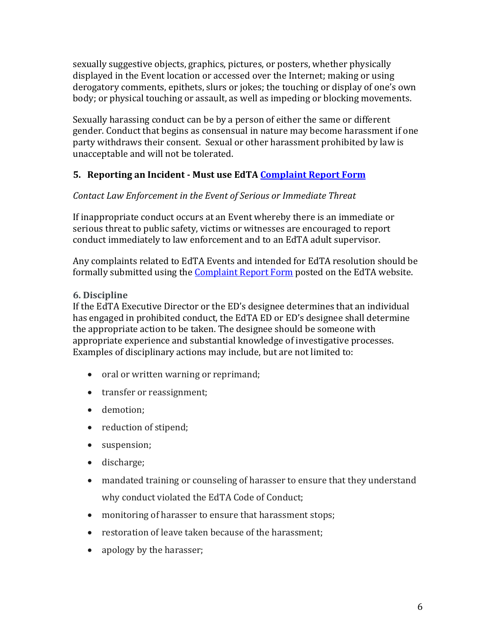sexually suggestive objects, graphics, pictures, or posters, whether physically displayed in the Event location or accessed over the Internet; making or using derogatory comments, epithets, slurs or jokes; the touching or display of one's own body; or physical touching or assault, as well as impeding or blocking movements.

Sexually harassing conduct can be by a person of either the same or different gender. Conduct that begins as consensual in nature may become harassment if one party withdraws their consent. Sexual or other harassment prohibited by law is unacceptable and will not be tolerated.

### **5. Reporting an Incident - Must use EdTA [Complaint Report Form](https://www.wrike.com/frontend/requestforms/index.html?token=eyJhY2NvdW50SWQiOjE3NzIxNTMsInRhc2tGb3JtSWQiOjQxNTc2N30JNDc2MDU0MDU1MjU3NgliZTc1ODYzZDFlZDUyYzA1ODc2OGRjNTU0OWZlYjc4MTZiMjQxNDI2YTE2MjViZjU1ODM1MGVjNjUyY2M4NzM2)**

### *Contact Law Enforcement in the Event of Serious or Immediate Threat*

If inappropriate conduct occurs at an Event whereby there is an immediate or serious threat to public safety, victims or witnesses are encouraged to report conduct immediately to law enforcement and to an EdTA adult supervisor.

Any complaints related to EdTA Events and intended for EdTA resolution should be formally submitted using the [Complaint Report Form](https://www.wrike.com/frontend/requestforms/index.html?token=eyJhY2NvdW50SWQiOjE3NzIxNTMsInRhc2tGb3JtSWQiOjQxNTc2N30JNDc2MDU0MDU1MjU3NgliZTc1ODYzZDFlZDUyYzA1ODc2OGRjNTU0OWZlYjc4MTZiMjQxNDI2YTE2MjViZjU1ODM1MGVjNjUyY2M4NzM2) posted on the EdTA website.

### **6. Discipline**

If the EdTA Executive Director or the ED's designee determines that an individual has engaged in prohibited conduct, the EdTA ED or ED's designee shall determine the appropriate action to be taken. The designee should be someone with appropriate experience and substantial knowledge of investigative processes. Examples of disciplinary actions may include, but are not limited to:

- oral or written warning or reprimand;
- transfer or reassignment;
- demotion;
- reduction of stipend;
- suspension;
- discharge;
- mandated training or counseling of harasser to ensure that they understand why conduct violated the EdTA Code of Conduct;
- monitoring of harasser to ensure that harassment stops;
- restoration of leave taken because of the harassment;
- apology by the harasser;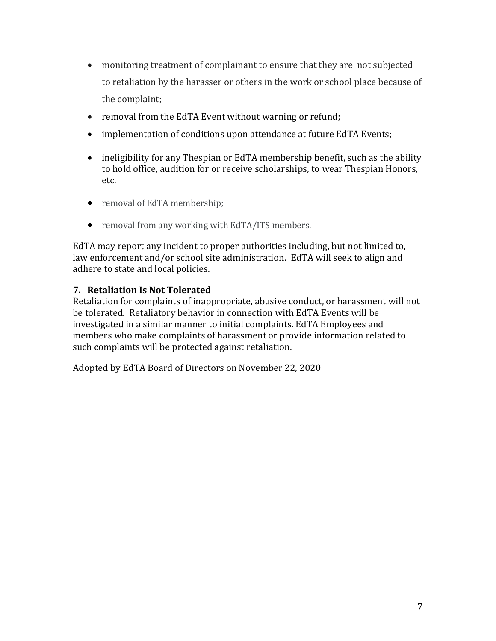- monitoring treatment of complainant to ensure that they are not subjected to retaliation by the harasser or others in the work or school place because of the complaint;
- removal from the EdTA Event without warning or refund;
- implementation of conditions upon attendance at future EdTA Events;
- ineligibility for any Thespian or EdTA membership benefit, such as the ability to hold office, audition for or receive scholarships, to wear Thespian Honors, etc.
- removal of EdTA membership;
- removal from any working with EdTA/ITS members.

EdTA may report any incident to proper authorities including, but not limited to, law enforcement and/or school site administration. EdTA will seek to align and adhere to state and local policies.

#### **7. Retaliation Is Not Tolerated**

Retaliation for complaints of inappropriate, abusive conduct, or harassment will not be tolerated. Retaliatory behavior in connection with EdTA Events will be investigated in a similar manner to initial complaints. EdTA Employees and members who make complaints of harassment or provide information related to such complaints will be protected against retaliation.

Adopted by EdTA Board of Directors on November 22, 2020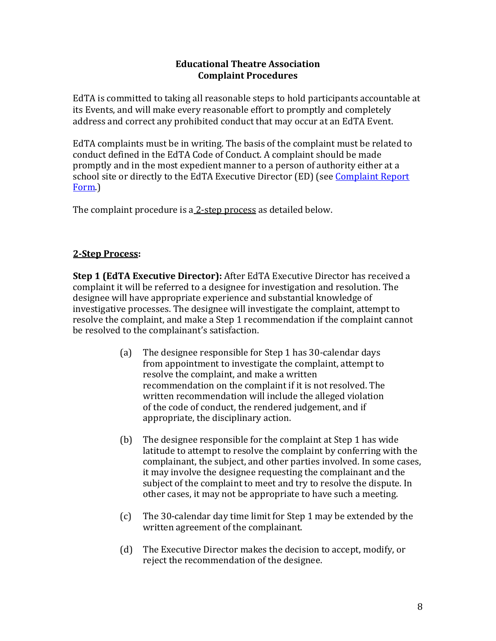#### **Educational Theatre Association Complaint Procedures**

EdTA is committed to taking all reasonable steps to hold participants accountable at its Events, and will make every reasonable effort to promptly and completely address and correct any prohibited conduct that may occur at an EdTA Event.

EdTA complaints must be in writing. The basis of the complaint must be related to conduct defined in the EdTA Code of Conduct. A complaint should be made promptly and in the most expedient manner to a person of authority either at a school site or directly to the EdTA Executive Director (ED) (see [Complaint Report](https://www.wrike.com/frontend/requestforms/index.html?token=eyJhY2NvdW50SWQiOjE3NzIxNTMsInRhc2tGb3JtSWQiOjQxNTc2N30JNDc2MDU0MDU1MjU3NgliZTc1ODYzZDFlZDUyYzA1ODc2OGRjNTU0OWZlYjc4MTZiMjQxNDI2YTE2MjViZjU1ODM1MGVjNjUyY2M4NzM2)  [Form.](https://www.wrike.com/frontend/requestforms/index.html?token=eyJhY2NvdW50SWQiOjE3NzIxNTMsInRhc2tGb3JtSWQiOjQxNTc2N30JNDc2MDU0MDU1MjU3NgliZTc1ODYzZDFlZDUyYzA1ODc2OGRjNTU0OWZlYjc4MTZiMjQxNDI2YTE2MjViZjU1ODM1MGVjNjUyY2M4NzM2))

The complaint procedure is a 2-step process as detailed below.

### **2-Step Process:**

**Step 1 (EdTA Executive Director):** After EdTA Executive Director has received a complaint it will be referred to a designee for investigation and resolution. The designee will have appropriate experience and substantial knowledge of investigative processes. The designee will investigate the complaint, attempt to resolve the complaint, and make a Step 1 recommendation if the complaint cannot be resolved to the complainant's satisfaction.

- (a) The designee responsible for Step 1 has 30-calendar days from appointment to investigate the complaint, attempt to resolve the complaint, and make a written recommendation on the complaint if it is not resolved. The written recommendation will include the alleged violation of the code of conduct, the rendered judgement, and if appropriate, the disciplinary action.
- (b) The designee responsible for the complaint at Step 1 has wide latitude to attempt to resolve the complaint by conferring with the complainant, the subject, and other parties involved. In some cases, it may involve the designee requesting the complainant and the subject of the complaint to meet and try to resolve the dispute. In other cases, it may not be appropriate to have such a meeting.
- (c) The 30-calendar day time limit for Step 1 may be extended by the written agreement of the complainant.
- (d) The Executive Director makes the decision to accept, modify, or reject the recommendation of the designee.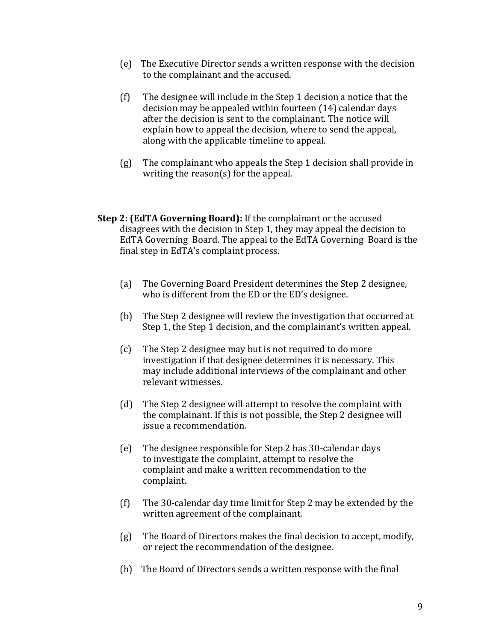- (e) The Executive Director sends a written response with the decision to the complainant and the accused.
- (f) The designee will include in the Step 1 decision a notice that the decision may be appealed within fourteen (14) calendar days after the decision is sent to the complainant. The notice will explain how to appeal the decision, where to send the appeal, along with the applicable timeline to appeal.
- (g) The complainant who appeals the Step 1 decision shall provide in writing the reason(s) for the appeal.
- **Step 2: (EdTA Governing Board):** If the complainant or the accused disagrees with the decision in Step 1, they may appeal the decision to EdTA Governing Board. The appeal to the EdTA Governing Board is the final step in EdTA's complaint process.
	- (a) The Governing Board President determines the Step 2 designee, who is different from the ED or the ED's designee.
	- (b) The Step 2 designee will review the investigation that occurred at Step 1, the Step 1 decision, and the complainant's written appeal.
	- (c) The Step 2 designee may but is not required to do more investigation if that designee determines it is necessary. This may include additional interviews of the complainant and other relevant witnesses.
	- (d) The Step 2 designee will attempt to resolve the complaint with the complainant. If this is not possible, the Step 2 designee will issue a recommendation.
	- (e) The designee responsible for Step 2 has 30-calendar days to investigate the complaint, attempt to resolve the complaint and make a written recommendation to the complaint.
	- (f) The 30-calendar day time limit for Step 2 may be extended by the written agreement of the complainant.
	- (g) The Board of Directors makes the final decision to accept, modify, or reject the recommendation of the designee.
	- (h) The Board of Directors sends a written response with the final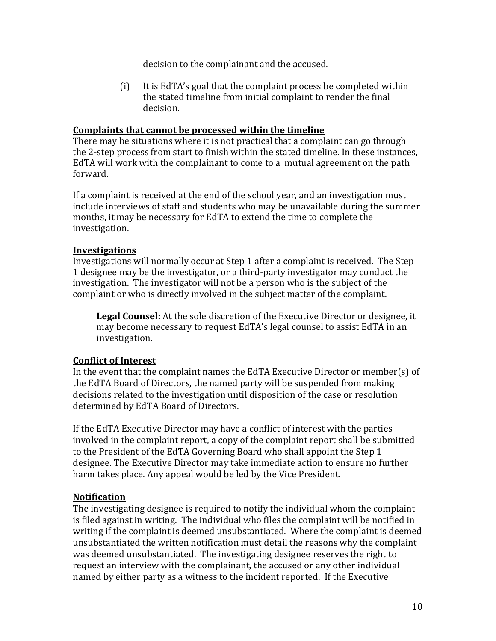decision to the complainant and the accused.

(i) It is EdTA's goal that the complaint process be completed within the stated timeline from initial complaint to render the final decision.

#### **Complaints that cannot be processed within the timeline**

There may be situations where it is not practical that a complaint can go through the 2-step process from start to finish within the stated timeline. In these instances, EdTA will work with the complainant to come to a mutual agreement on the path forward.

If a complaint is received at the end of the school year, and an investigation must include interviews of staff and students who may be unavailable during the summer months, it may be necessary for EdTA to extend the time to complete the investigation.

#### **Investigations**

Investigations will normally occur at Step 1 after a complaint is received. The Step 1 designee may be the investigator, or a third-party investigator may conduct the investigation. The investigator will not be a person who is the subject of the complaint or who is directly involved in the subject matter of the complaint.

**Legal Counsel:** At the sole discretion of the Executive Director or designee, it may become necessary to request EdTA's legal counsel to assist EdTA in an investigation.

#### **Conflict of Interest**

In the event that the complaint names the EdTA Executive Director or member(s) of the EdTA Board of Directors, the named party will be suspended from making decisions related to the investigation until disposition of the case or resolution determined by EdTA Board of Directors.

If the EdTA Executive Director may have a conflict of interest with the parties involved in the complaint report, a copy of the complaint report shall be submitted to the President of the EdTA Governing Board who shall appoint the Step 1 designee. The Executive Director may take immediate action to ensure no further harm takes place. Any appeal would be led by the Vice President.

#### **Notification**

The investigating designee is required to notify the individual whom the complaint is filed against in writing. The individual who files the complaint will be notified in writing if the complaint is deemed unsubstantiated. Where the complaint is deemed unsubstantiated the written notification must detail the reasons why the complaint was deemed unsubstantiated. The investigating designee reserves the right to request an interview with the complainant, the accused or any other individual named by either party as a witness to the incident reported. If the Executive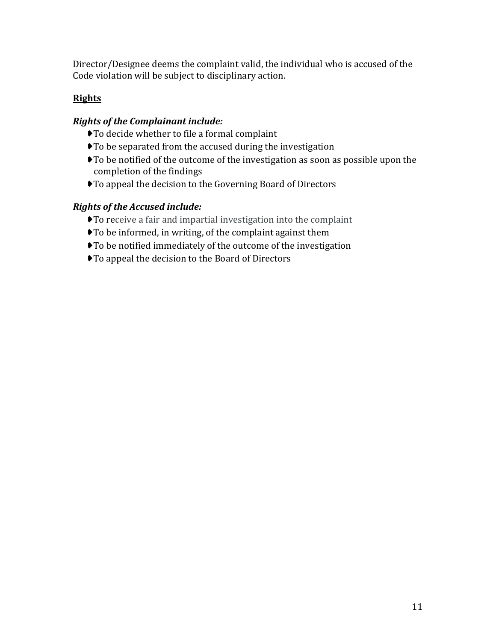Director/Designee deems the complaint valid, the individual who is accused of the Code violation will be subject to disciplinary action.

### **Rights**

### *Rights of the Complainant include:*

- ➧To decide whether to file a formal complaint
- ➧To be separated from the accused during the investigation
- ➧To be notified of the outcome of the investigation as soon as possible upon the completion of the findings
- ➧To appeal the decision to the Governing Board of Directors

### *Rights of the Accused include:*

- ➧To receive a fair and impartial investigation into the complaint
- ➧To be informed, in writing, of the complaint against them
- ➧To be notified immediately of the outcome of the investigation
- ➧To appeal the decision to the Board of Directors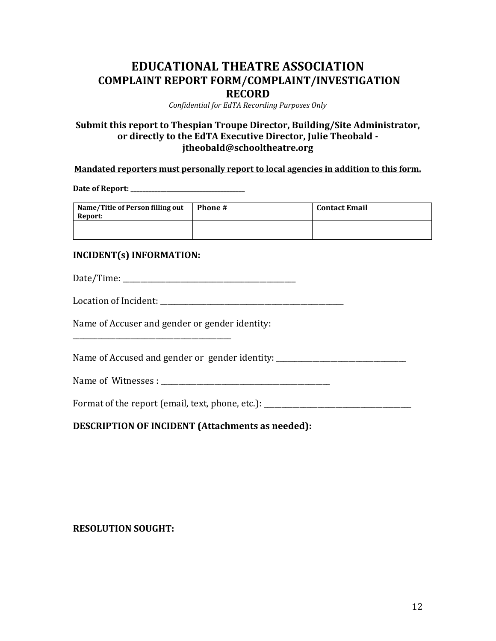### **EDUCATIONAL THEATRE ASSOCIATION COMPLAINT REPORT FORM/COMPLAINT/INVESTIGATION RECORD**

*Confidential for EdTA Recording Purposes Only*

#### **Submit this report to Thespian Troupe Director, Building/Site Administrator, or directly to the EdTA Executive Director, Julie Theobald jtheobald@schooltheatre.org**

#### **Mandated reporters must personally report to local agencies in addition to this form.**

**Date of Report: \_\_\_\_\_\_\_\_\_\_\_\_\_\_\_\_\_\_\_\_\_\_\_\_\_\_\_\_\_\_\_\_\_\_\_\_\_\_**

| Name/Title of Person filling out<br>Report: | <b>Phone</b> # | <b>Contact Email</b> |
|---------------------------------------------|----------------|----------------------|
|                                             |                |                      |

#### **INCIDENT(s) INFORMATION:**

Date/Time: \_\_\_\_\_\_\_\_\_\_\_\_\_\_\_\_\_\_\_\_\_\_\_\_\_\_\_\_\_\_\_\_\_\_\_\_\_\_\_\_\_\_\_\_\_\_\_\_

| Location of Incident: |
|-----------------------|
|                       |

Name of Accuser and gender or gender identity:

\_\_\_\_\_\_\_\_\_\_\_\_\_\_\_\_\_\_\_\_\_\_\_\_\_\_\_\_\_\_\_\_\_\_\_\_\_\_\_\_\_\_\_\_

Name of Accused and gender or gender identity: \_\_\_\_\_\_\_\_\_\_\_\_\_\_\_\_\_\_\_\_\_\_\_\_\_\_\_\_\_\_\_\_\_

Name of Witnesses : \_\_\_\_\_\_\_\_\_\_\_\_\_\_\_\_\_\_\_\_\_\_\_\_\_\_\_\_\_\_\_\_\_\_\_\_\_\_\_\_\_\_\_\_\_\_\_

Format of the report (email, text, phone, etc.): \_\_\_\_\_\_\_\_\_\_\_\_\_\_\_\_\_\_\_\_\_\_\_\_\_\_\_\_\_\_\_

**DESCRIPTION OF INCIDENT (Attachments as needed):**

#### **RESOLUTION SOUGHT:**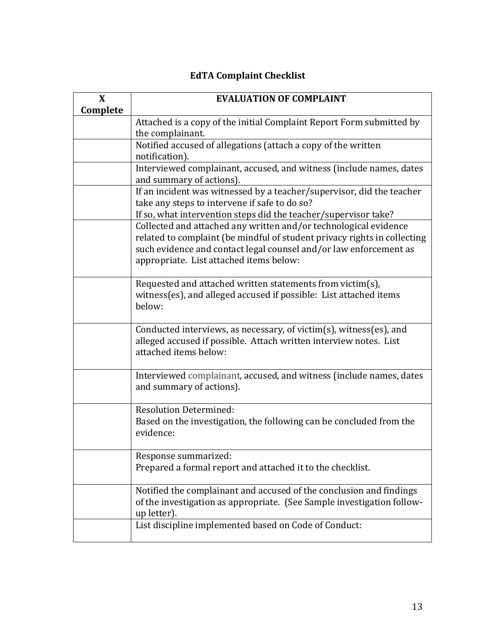## **EdTA Complaint Checklist**

| X        | <b>EVALUATION OF COMPLAINT</b>                                                                                                                                                                                                                               |  |  |
|----------|--------------------------------------------------------------------------------------------------------------------------------------------------------------------------------------------------------------------------------------------------------------|--|--|
| Complete |                                                                                                                                                                                                                                                              |  |  |
|          | Attached is a copy of the initial Complaint Report Form submitted by<br>the complainant.                                                                                                                                                                     |  |  |
|          | Notified accused of allegations (attach a copy of the written<br>notification).                                                                                                                                                                              |  |  |
|          | Interviewed complainant, accused, and witness (include names, dates<br>and summary of actions).                                                                                                                                                              |  |  |
|          | If an incident was witnessed by a teacher/supervisor, did the teacher<br>take any steps to intervene if safe to do so?<br>If so, what intervention steps did the teacher/supervisor take?                                                                    |  |  |
|          | Collected and attached any written and/or technological evidence<br>related to complaint (be mindful of student privacy rights in collecting<br>such evidence and contact legal counsel and/or law enforcement as<br>appropriate. List attached items below: |  |  |
|          | Requested and attached written statements from victim(s),<br>witness(es), and alleged accused if possible: List attached items<br>below:                                                                                                                     |  |  |
|          | Conducted interviews, as necessary, of victim(s), witness(es), and<br>alleged accused if possible. Attach written interview notes. List<br>attached items below:                                                                                             |  |  |
|          | Interviewed complainant, accused, and witness (include names, dates<br>and summary of actions).                                                                                                                                                              |  |  |
|          | <b>Resolution Determined:</b><br>Based on the investigation, the following can be concluded from the<br>evidence:                                                                                                                                            |  |  |
|          | Response summarized:<br>Prepared a formal report and attached it to the checklist.                                                                                                                                                                           |  |  |
|          | Notified the complainant and accused of the conclusion and findings<br>of the investigation as appropriate. (See Sample investigation follow-<br>up letter).                                                                                                 |  |  |
|          | List discipline implemented based on Code of Conduct:                                                                                                                                                                                                        |  |  |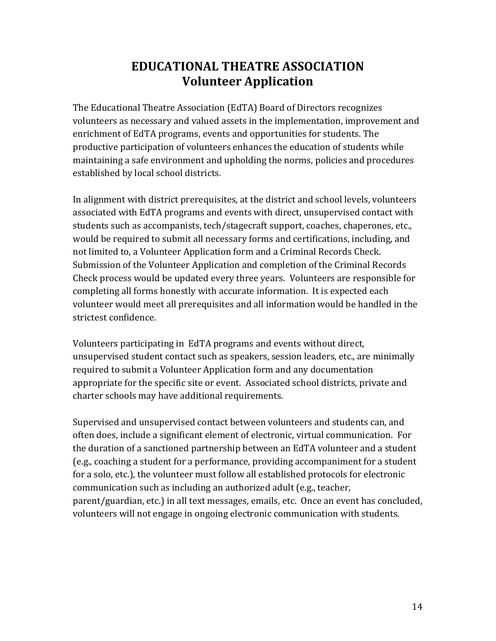# **EDUCATIONAL THEATRE ASSOCIATION Volunteer Application**

The Educational Theatre Association (EdTA) Board of Directors recognizes volunteers as necessary and valued assets in the implementation, improvement and enrichment of EdTA programs, events and opportunities for students. The productive participation of volunteers enhances the education of students while maintaining a safe environment and upholding the norms, policies and procedures established by local school districts.

In alignment with district prerequisites, at the district and school levels, volunteers associated with EdTA programs and events with direct, unsupervised contact with students such as accompanists, tech/stagecraft support, coaches, chaperones, etc., would be required to submit all necessary forms and certifications, including, and not limited to, a Volunteer Application form and a Criminal Records Check. Submission of the Volunteer Application and completion of the Criminal Records Check process would be updated every three years. Volunteers are responsible for completing all forms honestly with accurate information. It is expected each volunteer would meet all prerequisites and all information would be handled in the strictest confidence.

Volunteers participating in EdTA programs and events without direct, unsupervised student contact such as speakers, session leaders, etc., are minimally required to submit a Volunteer Application form and any documentation appropriate for the specific site or event. Associated school districts, private and charter schools may have additional requirements.

Supervised and unsupervised contact between volunteers and students can, and often does, include a significant element of electronic, virtual communication. For the duration of a sanctioned partnership between an EdTA volunteer and a student (e.g., coaching a student for a performance, providing accompaniment for a student for a solo, etc.), the volunteer must follow all established protocols for electronic communication such as including an authorized adult (e.g., teacher, parent/guardian, etc.) in all text messages, emails, etc. Once an event has concluded, volunteers will not engage in ongoing electronic communication with students.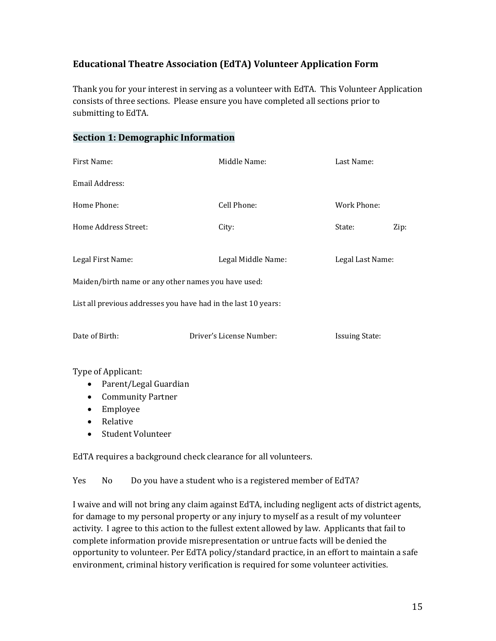### **Educational Theatre Association (EdTA) Volunteer Application Form**

Thank you for your interest in serving as a volunteer with EdTA. This Volunteer Application consists of three sections. Please ensure you have completed all sections prior to submitting to EdTA.

#### **Section 1: Demographic Information**

| First Name:                                                    | Middle Name:             | Last Name:            |  |  |  |  |
|----------------------------------------------------------------|--------------------------|-----------------------|--|--|--|--|
| Email Address:                                                 |                          |                       |  |  |  |  |
| Home Phone:                                                    | Cell Phone:              | Work Phone:           |  |  |  |  |
| Home Address Street:                                           | City:                    | State:<br>Zip:        |  |  |  |  |
|                                                                |                          |                       |  |  |  |  |
| Legal First Name:                                              | Legal Middle Name:       | Legal Last Name:      |  |  |  |  |
| Maiden/birth name or any other names you have used:            |                          |                       |  |  |  |  |
| List all previous addresses you have had in the last 10 years: |                          |                       |  |  |  |  |
|                                                                |                          |                       |  |  |  |  |
| Date of Birth:                                                 | Driver's License Number: | <b>Issuing State:</b> |  |  |  |  |
|                                                                |                          |                       |  |  |  |  |

Type of Applicant:

- Parent/Legal Guardian
- Community Partner
- Employee
- Relative
- Student Volunteer

EdTA requires a background check clearance for all volunteers.

Yes No Do you have a student who is a registered member of EdTA?

I waive and will not bring any claim against EdTA, including negligent acts of district agents, for damage to my personal property or any injury to myself as a result of my volunteer activity. I agree to this action to the fullest extent allowed by law. Applicants that fail to complete information provide misrepresentation or untrue facts will be denied the opportunity to volunteer. Per EdTA policy/standard practice, in an effort to maintain a safe environment, criminal history verification is required for some volunteer activities.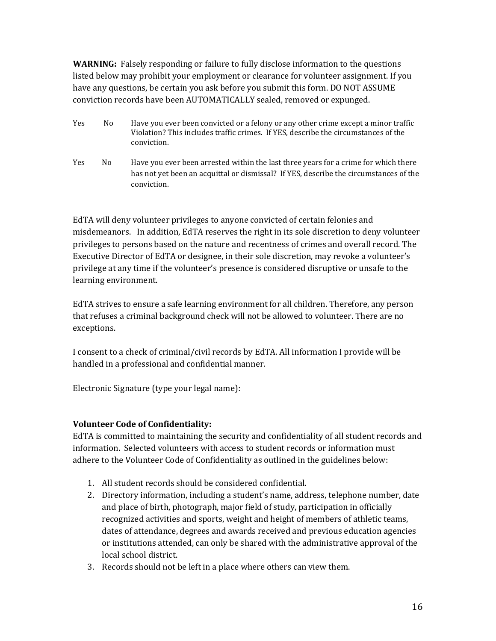**WARNING:** Falsely responding or failure to fully disclose information to the questions listed below may prohibit your employment or clearance for volunteer assignment. If you have any questions, be certain you ask before you submit this form. DO NOT ASSUME conviction records have been AUTOMATICALLY sealed, removed or expunged.

- Yes No Have you ever been convicted or a felony or any other crime except a minor traffic Violation? This includes traffic crimes. If YES, describe the circumstances of the conviction.
- Yes No Have you ever been arrested within the last three years for a crime for which there has not yet been an acquittal or dismissal? If YES, describe the circumstances of the conviction.

EdTA will deny volunteer privileges to anyone convicted of certain felonies and misdemeanors. In addition, EdTA reserves the right in its sole discretion to deny volunteer privileges to persons based on the nature and recentness of crimes and overall record. The Executive Director of EdTA or designee, in their sole discretion, may revoke a volunteer's privilege at any time if the volunteer's presence is considered disruptive or unsafe to the learning environment.

EdTA strives to ensure a safe learning environment for all children. Therefore, any person that refuses a criminal background check will not be allowed to volunteer. There are no exceptions.

I consent to a check of criminal/civil records by EdTA. All information I provide will be handled in a professional and confidential manner.

Electronic Signature (type your legal name):

#### **Volunteer Code of Confidentiality:**

EdTA is committed to maintaining the security and confidentiality of all student records and information. Selected volunteers with access to student records or information must adhere to the Volunteer Code of Confidentiality as outlined in the guidelines below:

- 1. All student records should be considered confidential.
- 2. Directory information, including a student's name, address, telephone number, date and place of birth, photograph, major field of study, participation in officially recognized activities and sports, weight and height of members of athletic teams, dates of attendance, degrees and awards received and previous education agencies or institutions attended, can only be shared with the administrative approval of the local school district.
- 3. Records should not be left in a place where others can view them.